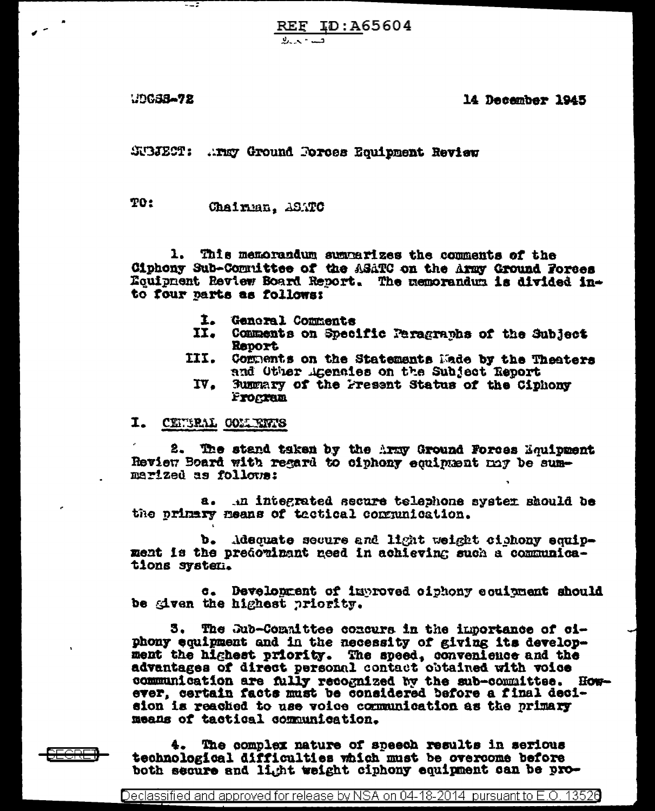**REF ID:A65604** 

udgaa~72

14 December 1945

SUBJECT: ... may Ground Forces Equipment Review

TO: Chainmn. ASATC

1. This memorandum summarizes the comments of the Ciphony Sub-Committee of the ASATC on the Army Ground Forees Equipment Review Board Report. The memorandum is divided into four parts as follows:

- 1. General Comments
- Comments on Specific Peragraphs of the Subject II. Report
- III. Comments on the Statements Made by the Theaters and Other Agencies on the Subject Report
	- Summary of the Present Status of the Ciphony IV. Program
- I. CENTRAL COMMENTS

F<del>CRF</del>

2. The stand taken by the Army Ground Forces Equipment Review Board with regard to ciphony equipment may be summarized as follows:

a. in integrated secure telephone syster should be the primary means of tactical communication.

b. Adequate secure and light weight cichony equipment is the predouinant need in achieving such a communications system.

c. Development of inproved oiphony coulpment should be given the highest priority.

The Sub-Committee concurs in the importance of ciз. phony equipment and in the necessity of giving its development the highest priority. The speed, convenience and the advantages of direct personal contact obtained with voice communication are fully recognized by the sub-commuttee. How-<br>ever, certain facts must be considered before a final decision is reached to use voice communication as the primary means of tactical communication.

4. The complex nature of speech results in serious technological difficulties which must be overcome before both secure and light weight ciphony equipment can be pro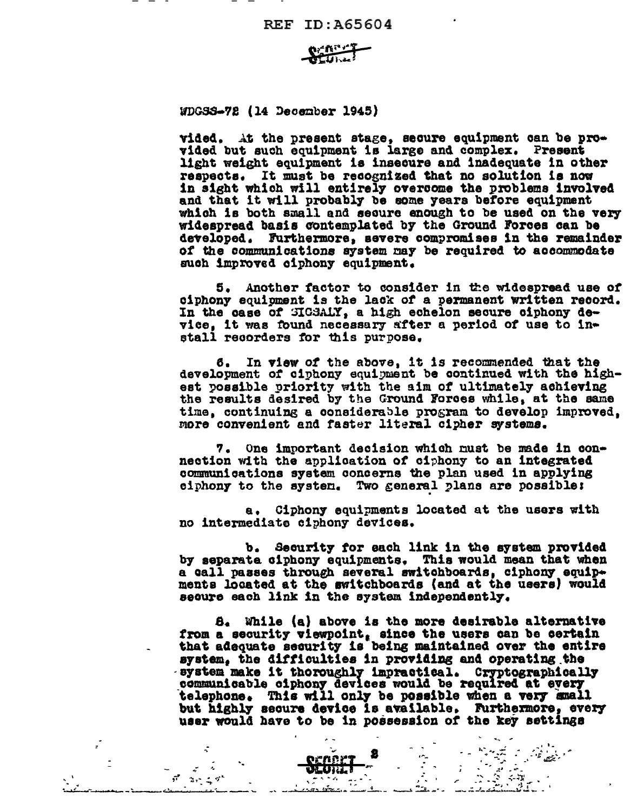REF ID:A65604

يتبيع

WDGSS-72 (14 December 1945)

. .

vided.  $At$  the present stage, secure equipment can be pro $\bullet$  vided but such equipment is large and complex. Present light weight equipment is insecure and inadequate 1n other reapeots. It must be reaognized that no solution is nov in sight which will entirely overcome the problems involved<br>and that it will probably be some years before equipment which is both small and secure enough to be used on the very widespread basis contemplated by the Ground Forces can be developed. Furthermore, severe compromises in the remainder of the communications system may be required to accommodate such improved oiphony equipment.

5. Another factor to consider in the widespread use of ciphony equipment is the lack *ot* a permanent written record. In the case of **MICSALY**, a high echelon secure ciphony device, it was found necessary after a period of use to install recorders for this purpose.

e. In view *ot* the above, it is recommended that the development of ciphony equipment be continued with the high-<br>est possible priority with the aim of ultimately achieving the results desired by the Ground Forces while, at the same time, continuing a considerable program to develop improved, more convenient and faster literal cipher systems.

7. One important decision which must be made in connection with the application of ciphony to an integrated communications system concerns the plan used in applying eiphony to the system. Two general plans are possible:

a. Ciphony equipments located at the users with no intermediate c1phony devices.

b. Security for each link in the system provided by separate ciphony equipments. This would mean that when a call passes through several switchboards, ciphony equipments located at the switchboards (and at the users) would secure each link in the system independently.

a. While (a) above is tho more 4ea1rable alternatiYe from a security viewpoint, since the users can be certain that a4equate security is being maintained over the entire system, the difficulties in providing and operating the system make it thoroughly impractical. Cryptographically communicable oiphony devices would be required at every telephone. This will only be possible when a very sma but highly secure device is available. Furthermore, every uaer would have to be in po8aesa1on *ot* the kef aettlnge

> .. h .. ,I, .. ~ .. I' ... ~.'·, - \* -::: • -· - *•&* ~:- '

 $-11.11.12$ 

**and the second of the second second second second second second second second second second second second seco** 

.... ......::.---'----....\_ ---- "-"'--------~ -· -~-:;. ~.::· *..* ~ ~'~-- ---· ~-··- \_.a' *:-:* oa ~~ -=:-~I ,r • '"

 $\mathcal{L}$ 

...; .... - ... ~· ....... \_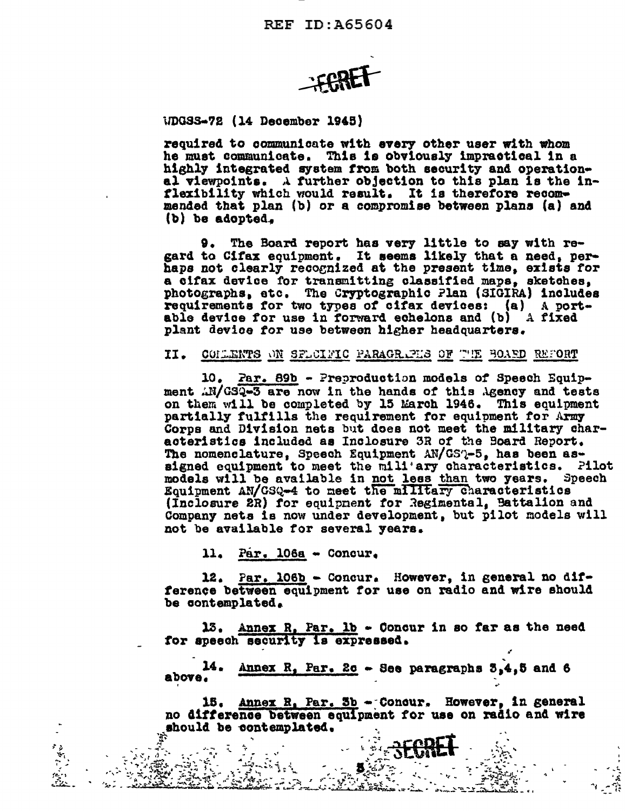

\IDGSS-72 (14 December 1945)

required to communicate with every other user with whom he must communicate. This is obviously impractical in a highly integrated system from both security and operational viewpoints. A further objection to this plan is the inflexibility which would result. It is therefore recommended that plan (b) or a compromise between plana (a) an4 (b) be adopted,.

9. The Board report has very little to say with re-<br>gard to Cifax equipment. It seems likely that a need, perhaps not clearly recognized at the present time, exists for a cifax device for transmitting classified maps, sketches, photographs, etc, The Cryptographic ?lan (SIGIRA) includes requirements tor two types *ot* c1tax devices: (a) A port- able device for use in forward echelons and (b) A fixed plant device tor use between higher headquarters.

## II. COMLENTS ON SPLOIFIC PARAGRAPHS OF THE BOARD REFORT

10. ?ar. 89b - ?reproduction models *ot* Speech Equipment  $\frac{11}{40000}$ -3 are now in the hands of this .\gency and tests on them will be completed by 15 March 1946. This equipment partially fulfills the requirement for equipment for Army Corps and Division nets but does not meet the military char-<br>acteristics included as Inclosure 3R of the Board Report. The nomenclature, Speech Equipment AN/GS'l-5, has been assigned equipment to meet the mili ary characteristics. Pilot models will be available in not less than two years. Speech Equipment AN/GSQ-4 to meet the military characteristics (Inclosure 2R) for equipnent for *Regimental*, Battalion and Company neta is now under development, but pilot models will not be available for several yeara.

 $11.$  Par.  $106a - Concur.$ 

12. Par. 106b - Concur. However, in general no difference between equipment for use on radio and wire should be contemplated.

15. Annex  $R_1$  Par. 1b  $\sim$  Concur in so far as the need for apeech security is expressed. ..

14. above, 14. Annex R, Par. 2 $\alpha$   $\sim$  See paragraphs  $3,4,5$  and 6

15. Annex R. Par. 3b - Concur. However, in general no difference between equipment for use on radio and wire should be contemplated.

> .. ~ .. t.\_. ند.<br>آب<sup>ي</sup> مي ا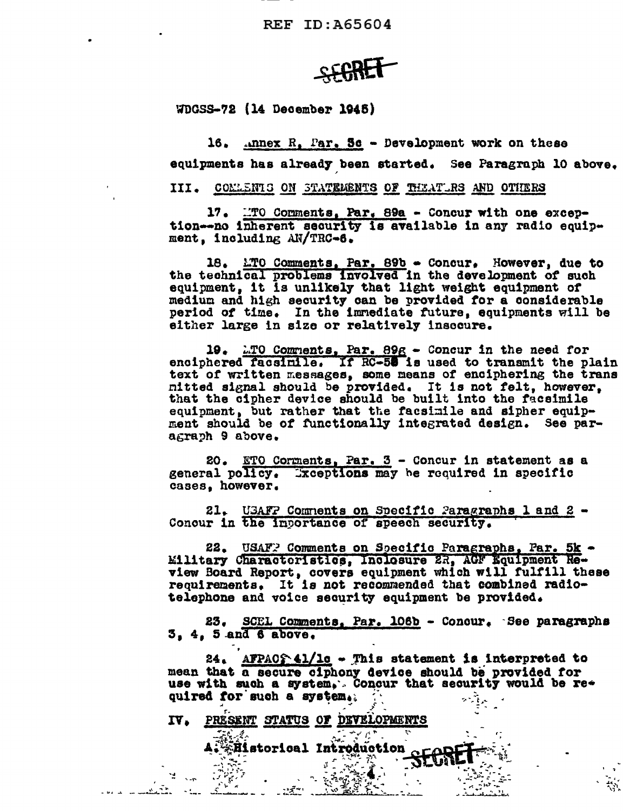REF ID: A65604



 $WDSS-72$  (14 December 1945)

16.  $\frac{1}{2}$  mnex R, Par. Sc - Development work on these equipments has already been started. See Paragraph 10 above. III. CONLENTS ON STATEMENTS OF THEATLRS AND OTHERS

17. MTO Comments, Par. 89a - Concur with one exception--no inherent security is available in any radio equipment, including AN/TRC-6.

18. ETO Comments, Par. 89b - Concur. However, due to the technical problems involved in the development of such equipment, it is unlikely that light weight equipment of medium and high security can be provided for a considerable period of time. In the immediate future, equipments will be either large in size or relatively insecure.

19. ETO Comments, Par. 89g - Concur in the need for enciphered facsimile. If RC-50 is used to transmit the plain text of written messages, some means of enciphering the trans nitted signal should be provided. It is not felt, however, that the cipher device should be built into the facsimile equipment, but rather that the facsimile and sipher equipment should be of functionally integrated design. See paragraph 9 above.

20. ETO Corments, Par. 3 - Concur in statement as a general policy. Exceptions may be required in specific cases, however.

21. UBAFP Comments on Specific Paragraphs 1 and 2 -Concur in the inportance of speech security.

22. USAFP Comments on Specific Paragraphs, Par. 5k - Military Characteristics, Inclesure 2R, AGF Equipment Review Board Report, covers equipment which will fulfill these requirements. It is not recommended that combined radiotelephone and voice security equipment be provided.

23. SCEL Comments, Par. 106b - Concur. See paragraphs 3. 4. 5 and 6 above.

 $APPAOS$  41/10 - This statement is interpreted to  $24.$ mean that a secure ciphony device should be provided for use with such a system. Concur that security would be required for such a system.

IV. PRESENT STATUS OF DEVELOPMENTS

وفجور

e in  $\sim 10^{-11}$  *<b>Elistorical Introduction*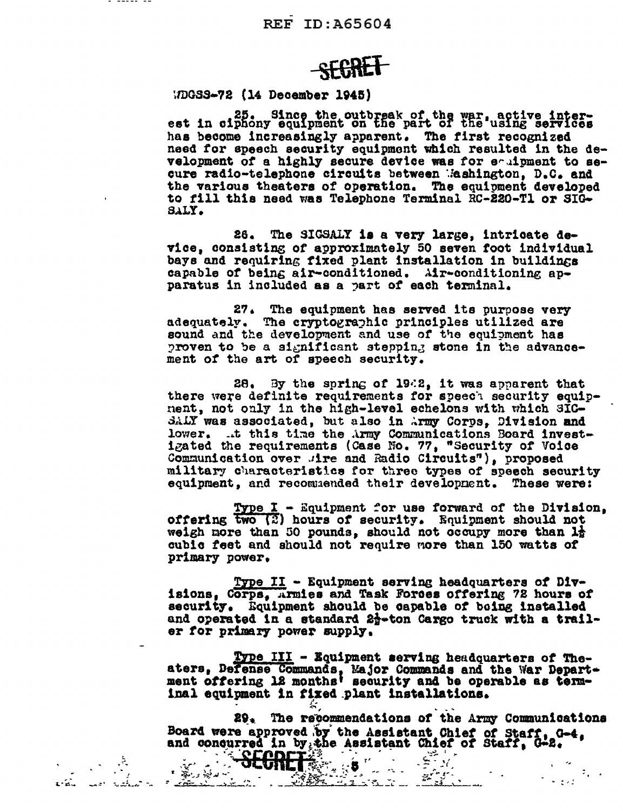## **REF ID: A65604**

**SFRRET** 

 $(DGS3-72 (14 December 1945))$ 

25. Since the outbreak of the war, active inter-<br>est in ciphony equipment on the part of the using services has become increasingly apparent. The first recognized need for speech security equipment which resulted in the development of a highly secure device was for equipment to secure radio-telephone circuits between Mashington, D.C. and the various theaters of operation. The equipment developed to fill this need was Telephone Terminal RC-220-T1 or SIG-SALY.

The SIGSALY is a very large, intricate de-26. vice, consisting of approximately 50 seven foot individual bays and requiring fixed plant installation in buildings capable of being air-conditioned. Air-conditioning apparatus in included as a part of each terminal.

27. The equipment has served its purpose very adequately. The cryptographic principles utilized are sound and the development and use of the equipment has proven to be a significant stepping stone in the advancement of the art of speech security.

28. By the spring of 1942, it was apparent that there were definite requirements for speech security equipnent, not only in the high-level echelons with which SIG-SALY was associated, but also in Army Corps, Division and lower. ..t this time the Army Communications Board investigated the requirements (Case No. 77, "Security of Voice Communication over thre and Radio Circuits"), proposed military characteristics for three types of speech security equipment, and recommended their development. These were:

**Type I - Equipment for use forward of the Division,** offering two (2) hours of security. Equipment should not weigh more than 50 pounds, should not occupy more than  $l_2^1$ cubic feet and should not require more than 150 watts of primary power.

Type II - Equipment serving headquarters of Divisions, Corps, Armies and Task Forces offering 72 hours of security. Equipment should be capable of boing installed and operated in a standard 2<sup>1</sup>+ton Cargo truck with a trailer for primary power supply.

Type III - Equipment serving headquarters of Theaters, Defense Commands, Major Commands and the War Depart-<br>ment offering 12 months' security and be operable as terminal equipment in fixed plant installations.

29. The recommendations of the Army Communications Board were approved by the Assistant Chief of Staff, G-2.

محمد الشمستقف الم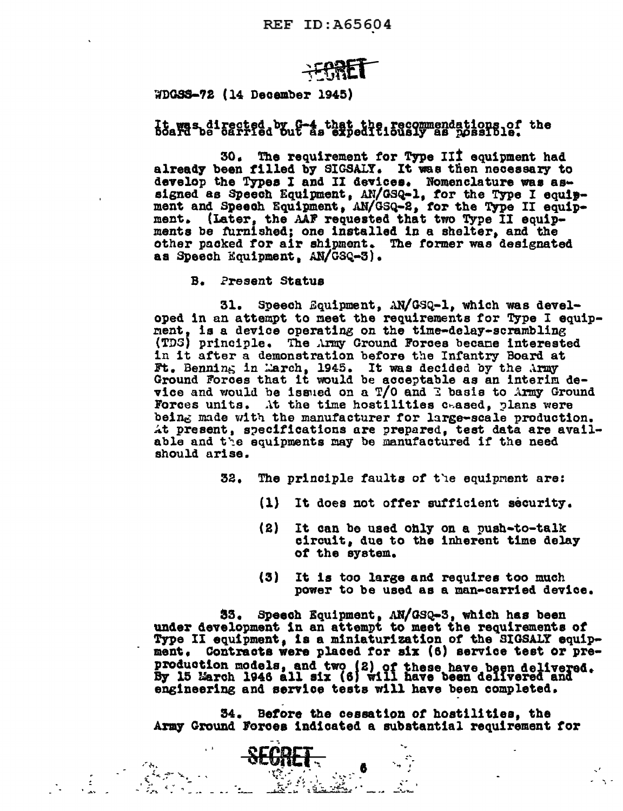WDGSS-72 (14 December 1945)

It was directed by C-4 that the recommendations of the board barried but as expeditiously as possible.

30. The requirement for Type III equipment had<br>already been filled by SIGSALY. It was then necessary to develop the Types I and II devices. Nomenclature was assigned as Speech Equipment, AN/GSQ-1, for the Type I equipment and Speech Equipment, AN/GSQ-2, for the Type II equip-(Later, the AAF requested that two Type II equipment. ments be furnished; one installed in a shelter, and the other packed for air shipment. The former was designated as Speech Equipment, AN/GSQ-3).

Present Status в.

31. Speech Equipment, AN/GSQ-1, which was developed in an attempt to meet the requirements for Type I equipment, is a device operating on the time-delay-scrambling (TDS) principle. The Army Ground Forces became interested in it after a demonstration before the Infantry Board at Ft. Benning in March, 1945. It was decided by the Army Ground Forces that it would be acceptable as an interim device and would be issued on a T/O and I basis to Army Ground Forces units. At the time hostilities cased, plans were being made with the manufacturer for large-scale production. At present, specifications are prepared, test data are available and the equipments may be manufactured if the need should arise.

> 32. The principle faults of the equipment are:

- $(1)$ It does not offer sufficient security.
- $(2)$ It can be used only on a push-to-talk circuit, due to the inherent time delay of the system.
- (3) It is too large and requires too much power to be used as a man-carried device.

Speech Equipment, AN/GSQ-3, which has been 33. under development in an attempt to meet the requirements of Type II equipment, is a miniaturization of the SIGSALY equipment. Contracts were placed for six (6) service test or preproduction models, and two (2) of these have been delivered.<br>By 15 March 1946 all six (6) will have been delivered and engineering and service tests will have been completed.

34. Before the cessation of hostilities, the Army Ground Forces indicated a substantial requirement for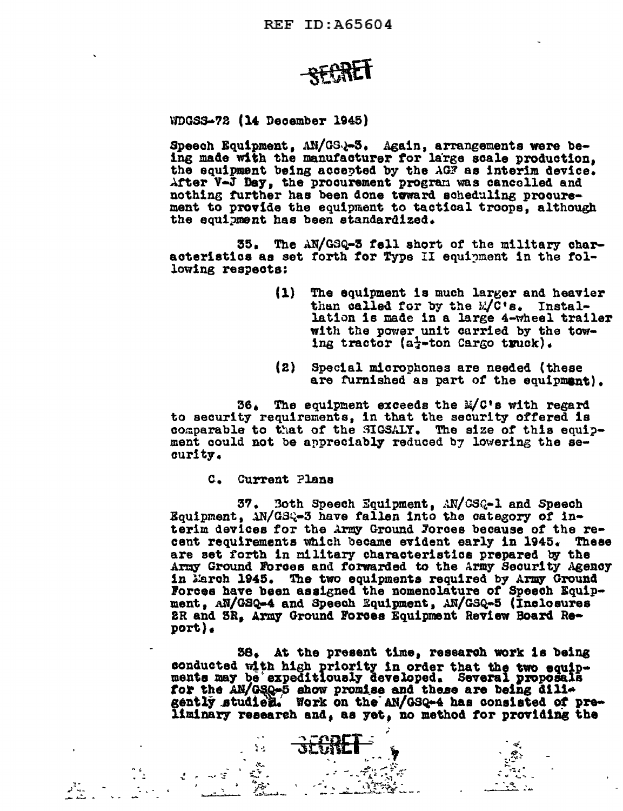$WDSS-72$  (14 December 1945)

Speech Equipment, AN/GS-1-3. Again, arrangements were being made with the manufacturer for large scale production. the equipment being accepted by the AGF as interim device. After V-J Day, the procurement program was cancelled and nothing further has been done toward scheduling procurement to provide the equipment to tactical troops, although the equipment has been standardized.

The AN/GSQ-3 fell short of the military char-35. acteristics as set forth for Type II equipment in the following respects:

- $(1)$ The equipment is much larger and heavier than called for by the M/C's. Installation is made in a large 4-wheel trailer with the power unit carried by the towing tractor (a}-ton Cargo truck).
- $(2)$ Special microphones are needed (these are furnished as part of the equipment).

36. The equipment exceeds the M/C's with regard to security requirements, in that the security offered is comparable to that of the SIGSALY. The size of this equipment could not be appreciably reduced by lowering the security.

 $c_{\bullet}$ Current Plans

 $\mathcal{E}$ 

€.\* .

v t

37. Both Speech Equipment, AN/CSQ-1 and Speech Equipment, AN/GSQ-3 have fallen into the category of interim devices for the Army Ground Forces because of the recent requirements which became evident early in 1945. These are set forth in military characteristics prepared by the Army Ground Forces and forwarded to the Army Security Agency in March 1945. The two equipments required by Army Ground Forces have been assigned the nomenolature of Speech Equipment, AN/GSQ-4 and Speech Equipment, AN/GSQ-5 (Inclosures 2R and 3R. Army Ground Forces Equipment Review Board Re $port.$ 

38. At the present time, research work is being conducted with high priority in order that the two equip-<br>ments may be expeditiously developed. Several proposals for the AN/GSQ-5 show promise and these are being diligently studied. Work on the AN/GSQ-4 has consisted of preliminary research and, as yet, no method for providing the